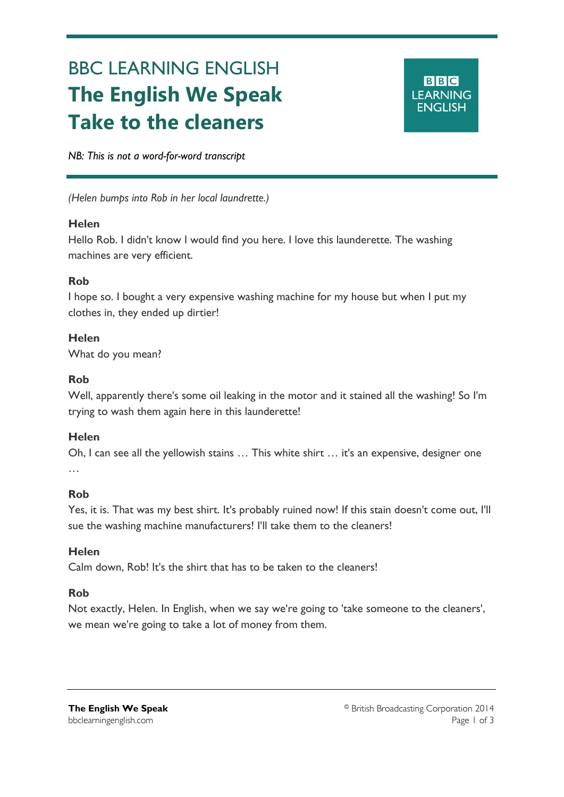# BBC LEARNING ENGLISH **The English We Speak Take to the cleaners**



*NB: This is not a word-for-word transcript*

*(Helen bumps into Rob in her local laundrette.)*

#### **Helen**

Ξ

Hello Rob. I didn't know I would find you here. I love this launderette. The washing machines are very efficient.

### **Rob**

I hope so. I bought a very expensive washing machine for my house but when I put my clothes in, they ended up dirtier!

### **Helen**

What do you mean?

### **Rob**

Well, apparently there's some oil leaking in the motor and it stained all the washing! So I'm trying to wash them again here in this launderette!

#### **Helen**

Oh, I can see all the yellowish stains … This white shirt … it's an expensive, designer one …

## **Rob**

Yes, it is. That was my best shirt. It's probably ruined now! If this stain doesn't come out, I'll sue the washing machine manufacturers! I'll take them to the cleaners!

## **Helen**

Calm down, Rob! It's the shirt that has to be taken to the cleaners!

## **Rob**

Not exactly, Helen. In English, when we say we're going to 'take someone to the cleaners', we mean we're going to take a lot of money from them.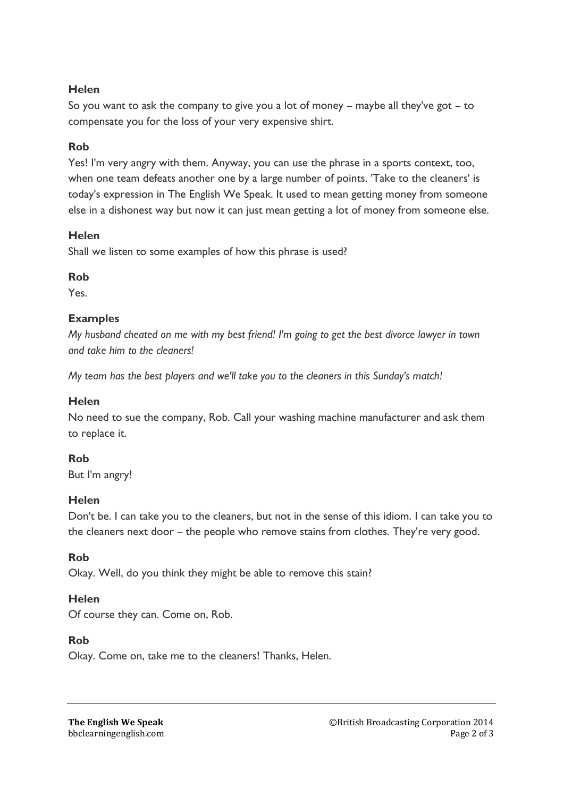## **Helen**

So you want to ask the company to give you a lot of money – maybe all they've got – to compensate you for the loss of your very expensive shirt.

## **Rob**

Yes! I'm very angry with them. Anyway, you can use the phrase in a sports context, too, when one team defeats another one by a large number of points. 'Take to the cleaners' is today's expression in The English We Speak. It used to mean getting money from someone else in a dishonest way but now it can just mean getting a lot of money from someone else.

## **Helen**

Shall we listen to some examples of how this phrase is used?

### **Rob**

Yes.

## **Examples**

*My husband cheated on me with my best friend! I'm going to get the best divorce lawyer in town and take him to the cleaners!*

*My team has the best players and we'll take you to the cleaners in this Sunday's match!*

## **Helen**

No need to sue the company, Rob. Call your washing machine manufacturer and ask them to replace it.

## **Rob**

But I'm angry!

## **Helen**

Don't be. I can take you to the cleaners, but not in the sense of this idiom. I can take you to the cleaners next door – the people who remove stains from clothes. They're very good.

## **Rob**

Okay. Well, do you think they might be able to remove this stain?

## **Helen**

Of course they can. Come on, Rob.

## **Rob**

Okay. Come on, take me to the cleaners! Thanks, Helen.